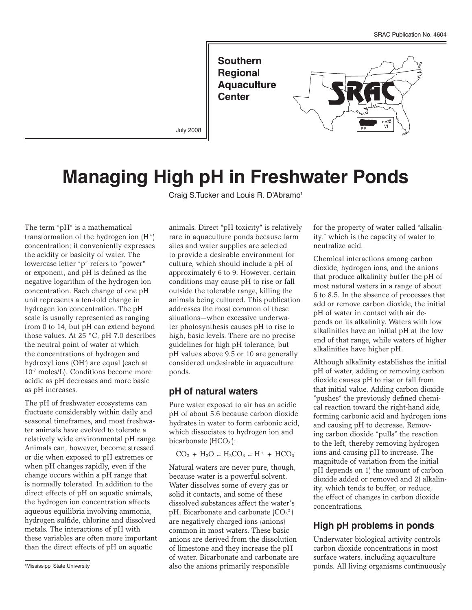

July 2008

# **Managing High pH in Freshwater Ponds**

Craig S.Tucker and Louis R. D'Abramo<sup>1</sup>

The term "pH" is a mathematical transformation of the hydrogen ion  $(H^+)$ concentration; it conveniently expresses the acidity or basicity of water. The lowercase letter "p" refers to "power" or exponent, and pH is defined as the negative logarithm of the hydrogen ion concentration. Each change of one pH unit represents a ten-fold change in hydrogen ion concentration. The pH scale is usually represented as ranging from 0 to 14, but pH can extend beyond those values. At 25  $\degree$ C, pH 7.0 describes the neutral point of water at which the concentrations of hydrogen and hydroxyl ions (OH<sup>-</sup>) are equal (each at 10-7 moles/L). Conditions become more acidic as pH decreases and more basic as pH increases.

The pH of freshwater ecosystems can fluctuate considerably within daily and seasonal timeframes, and most freshwater animals have evolved to tolerate a relatively wide environmental pH range. Animals can, however, become stressed or die when exposed to pH extremes or when pH changes rapidly, even if the change occurs within a pH range that is normally tolerated. In addition to the direct effects of pH on aquatic animals, the hydrogen ion concentration affects aqueous equilibria involving ammonia, hydrogen sulfide, chlorine and dissolved metals. The interactions of pH with these variables are often more important than the direct effects of pH on aquatic

Mississippi State University

animals. Direct "pH toxicity" is relatively rare in aquaculture ponds because farm sites and water supplies are selected to provide a desirable environment for culture, which should include a pH of approximately 6 to 9. However, certain conditions may cause pH to rise or fall outside the tolerable range, killing the animals being cultured. This publication addresses the most common of these situations—when excessive underwater photosynthesis causes pH to rise to high, basic levels. There are no precise guidelines for high pH tolerance, but pH values above 9.5 or 10 are generally considered undesirable in aquaculture ponds.

#### **pH of natural waters**

Pure water exposed to air has an acidic pH of about 5.6 because carbon dioxide hydrates in water to form carbonic acid, which dissociates to hydrogen ion and bicarbonate (HCO<sub>3</sub>):

 $CO_2 + H_2O = H_2CO_3 = H^+ + HCO_3$ 

Natural waters are never pure, though, because water is a powerful solvent. Water dissolves some of every gas or solid it contacts, and some of these dissolved substances affect the water's pH. Bicarbonate and carbonate  $(CO_3^2)$ are negatively charged ions (anions) common in most waters. These basic anions are derived from the dissolution of limestone and they increase the pH of water. Bicarbonate and carbonate are also the anions primarily responsible

for the property of water called "alkalinity," which is the capacity of water to neutralize acid.

Chemical interactions among carbon dioxide, hydrogen ions, and the anions that produce alkalinity buffer the pH of most natural waters in a range of about 6 to 8.5. In the absence of processes that add or remove carbon dioxide, the initial pH of water in contact with air depends on its alkalinity. Waters with low alkalinities have an initial pH at the low end of that range, while waters of higher alkalinities have higher pH.

Although alkalinity establishes the initial pH of water, adding or removing carbon dioxide causes pH to rise or fall from that initial value. Adding carbon dioxide "pushes" the previously defined chemical reaction toward the right-hand side, forming carbonic acid and hydrogen ions and causing pH to decrease. Removing carbon dioxide "pulls" the reaction to the left, thereby removing hydrogen ions and causing pH to increase. The magnitude of variation from the initial pH depends on 1) the amount of carbon dioxide added or removed and 2) alkalinity, which tends to buffer, or reduce, the effect of changes in carbon dioxide concentrations.

# **High pH problems in ponds**

Underwater biological activity controls carbon dioxide concentrations in most surface waters, including aquaculture ponds. All living organisms continuously <sup>1</sup>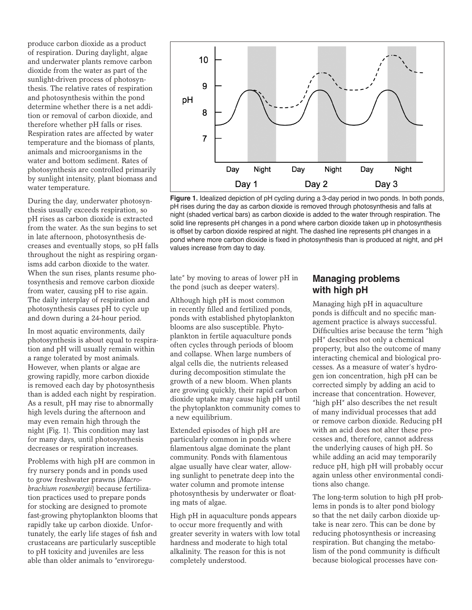produce carbon dioxide as a product of respiration. During daylight, algae and underwater plants remove carbon dioxide from the water as part of the sunlight-driven process of photosynthesis. The relative rates of respiration and photosynthesis within the pond determine whether there is a net addition or removal of carbon dioxide, and therefore whether pH falls or rises. Respiration rates are affected by water temperature and the biomass of plants, animals and microorganisms in the water and bottom sediment. Rates of photosynthesis are controlled primarily by sunlight intensity, plant biomass and water temperature.

During the day, underwater photosynthesis usually exceeds respiration, so pH rises as carbon dioxide is extracted from the water. As the sun begins to set in late afternoon, photosynthesis decreases and eventually stops, so pH falls throughout the night as respiring organisms add carbon dioxide to the water. When the sun rises, plants resume photosynthesis and remove carbon dioxide from water, causing pH to rise again. The daily interplay of respiration and photosynthesis causes pH to cycle up and down during a 24-hour period.

In most aquatic environments, daily photosynthesis is about equal to respiration and pH will usually remain within a range tolerated by most animals. However, when plants or algae are growing rapidly, more carbon dioxide is removed each day by photosynthesis than is added each night by respiration. As a result, pH may rise to abnormally high levels during the afternoon and may even remain high through the night (Fig. 1). This condition may last for many days, until photosynthesis decreases or respiration increases.

Problems with high pH are common in fry nursery ponds and in ponds used to grow freshwater prawns (*Macrobrachium rosenbergii*) because fertilization practices used to prepare ponds for stocking are designed to promote fast-growing phytoplankton blooms that rapidly take up carbon dioxide. Unfortunately, the early life stages of fish and crustaceans are particularly susceptible to pH toxicity and juveniles are less able than older animals to "enviroregu-



**Figure 1.** Idealized depiction of pH cycling during a 3-day period in two ponds. In both ponds, pH rises during the day as carbon dioxide is removed through photosynthesis and falls at night (shaded vertical bars) as carbon dioxide is added to the water through respiration. The solid line represents pH changes in a pond where carbon dioxide taken up in photosynthesis is offset by carbon dioxide respired at night. The dashed line represents pH changes in a pond where more carbon dioxide is fixed in photosynthesis than is produced at night, and pH values increase from day to day.

late" by moving to areas of lower pH in the pond (such as deeper waters).

Although high pH is most common in recently filled and fertilized ponds, ponds with established phytoplankton blooms are also susceptible. Phytoplankton in fertile aquaculture ponds often cycles through periods of bloom and collapse. When large numbers of algal cells die, the nutrients released during decomposition stimulate the growth of a new bloom. When plants are growing quickly, their rapid carbon dioxide uptake may cause high pH until the phytoplankton community comes to a new equilibrium.

Extended episodes of high pH are particularly common in ponds where filamentous algae dominate the plant community. Ponds with filamentous algae usually have clear water, allowing sunlight to penetrate deep into the water column and promote intense photosynthesis by underwater or floating mats of algae.

High pH in aquaculture ponds appears to occur more frequently and with greater severity in waters with low total hardness and moderate to high total alkalinity. The reason for this is not completely understood.

# **Managing problems with high pH**

Managing high pH in aquaculture ponds is difficult and no specific management practice is always successful. Difficulties arise because the term "high pH" describes not only a chemical property, but also the outcome of many interacting chemical and biological processes. As a measure of water's hydrogen ion concentration, high pH can be corrected simply by adding an acid to increase that concentration. However, "high pH" also describes the net result of many individual processes that add or remove carbon dioxide. Reducing pH with an acid does not alter these processes and, therefore, cannot address the underlying causes of high pH. So while adding an acid may temporarily reduce pH, high pH will probably occur again unless other environmental conditions also change.

The long-term solution to high pH problems in ponds is to alter pond biology so that the net daily carbon dioxide uptake is near zero. This can be done by reducing photosynthesis or increasing respiration. But changing the metabolism of the pond community is difficult because biological processes have con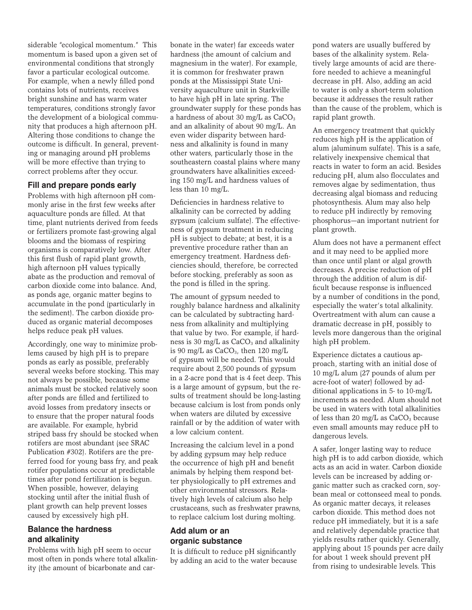siderable "ecological momentum." This momentum is based upon a given set of environmental conditions that strongly favor a particular ecological outcome. For example, when a newly filled pond contains lots of nutrients, receives bright sunshine and has warm water temperatures, conditions strongly favor the development of a biological community that produces a high afternoon pH. Altering those conditions to change the outcome is difficult. In general, preventing or managing around pH problems will be more effective than trying to correct problems after they occur.

#### **Fill and prepare ponds early**

Problems with high afternoon pH commonly arise in the first few weeks after aquaculture ponds are filled. At that time, plant nutrients derived from feeds or fertilizers promote fast-growing algal blooms and the biomass of respiring organisms is comparatively low. After this first flush of rapid plant growth, high afternoon pH values typically abate as the production and removal of carbon dioxide come into balance. And, as ponds age, organic matter begins to accumulate in the pond (particularly in the sediment). The carbon dioxide produced as organic material decomposes helps reduce peak pH values.

Accordingly, one way to minimize problems caused by high pH is to prepare ponds as early as possible, preferably several weeks before stocking. This may not always be possible, because some animals must be stocked relatively soon after ponds are filled and fertilized to avoid losses from predatory insects or to ensure that the proper natural foods are available. For example, hybrid striped bass fry should be stocked when rotifers are most abundant (see SRAC Publication #302). Rotifers are the preferred food for young bass fry, and peak rotifer populations occur at predictable times after pond fertilization is begun. When possible, however, delaying stocking until after the initial flush of plant growth can help prevent losses caused by excessively high pH.

### **Balance the hardness and alkalinity**

Problems with high pH seem to occur most often in ponds where total alkalinity (the amount of bicarbonate and carbonate in the water) far exceeds water hardness (the amount of calcium and magnesium in the water). For example, it is common for freshwater prawn ponds at the Mississippi State University aquaculture unit in Starkville to have high pH in late spring. The groundwater supply for these ponds has a hardness of about 30 mg/L as  $CaCO<sub>3</sub>$ and an alkalinity of about 90 mg/L. An even wider disparity between hardness and alkalinity is found in many other waters, particularly those in the southeastern coastal plains where many groundwaters have alkalinities exceeding 150 mg/L and hardness values of less than 10 mg/L.

Deficiencies in hardness relative to alkalinity can be corrected by adding gypsum (calcium sulfate). The effectiveness of gypsum treatment in reducing pH is subject to debate; at best, it is a preventive procedure rather than an emergency treatment. Hardness deficiencies should, therefore, be corrected before stocking, preferably as soon as the pond is filled in the spring.

The amount of gypsum needed to roughly balance hardness and alkalinity can be calculated by subtracting hardness from alkalinity and multiplying that value by two. For example, if hardness is 30 mg/ $L$  as CaCO<sub>3</sub> and alkalinity is 90 mg/L as  $CaCO<sub>3</sub>$ , then 120 mg/L of gypsum will be needed. This would require about 2,500 pounds of gypsum in a 2-acre pond that is 4 feet deep. This is a large amount of gypsum, but the results of treatment should be long-lasting because calcium is lost from ponds only when waters are diluted by excessive rainfall or by the addition of water with a low calcium content.

Increasing the calcium level in a pond by adding gypsum may help reduce the occurrence of high pH and benefit animals by helping them respond better physiologically to pH extremes and other environmental stressors. Relatively high levels of calcium also help crustaceans, such as freshwater prawns, to replace calcium lost during molting.

#### **Add alum or an organic substance**

It is difficult to reduce pH significantly by adding an acid to the water because pond waters are usually buffered by bases of the alkalinity system. Relatively large amounts of acid are therefore needed to achieve a meaningful decrease in pH. Also, adding an acid to water is only a short-term solution because it addresses the result rather than the cause of the problem, which is rapid plant growth.

An emergency treatment that quickly reduces high pH is the application of alum (aluminum sulfate). This is a safe, relatively inexpensive chemical that reacts in water to form an acid. Besides reducing pH, alum also flocculates and removes algae by sedimentation, thus decreasing algal biomass and reducing photosynthesis. Alum may also help to reduce pH indirectly by removing phosphorus—an important nutrient for plant growth.

Alum does not have a permanent effect and it may need to be applied more than once until plant or algal growth decreases. A precise reduction of pH through the addition of alum is difficult because response is influenced by a number of conditions in the pond, especially the water's total alkalinity. Overtreatment with alum can cause a dramatic decrease in pH, possibly to levels more dangerous than the original high pH problem.

Experience dictates a cautious approach, starting with an initial dose of 10 mg/L alum (27 pounds of alum per acre-foot of water) followed by additional applications in 5- to 10-mg/L increments as needed. Alum should not be used in waters with total alkalinities of less than 20 mg/L as  $CaCO<sub>3</sub>$  because even small amounts may reduce pH to dangerous levels.

A safer, longer lasting way to reduce high pH is to add carbon dioxide, which acts as an acid in water. Carbon dioxide levels can be increased by adding organic matter such as cracked corn, soybean meal or cottonseed meal to ponds. As organic matter decays, it releases carbon dioxide. This method does not reduce pH immediately, but it is a safe and relatively dependable practice that yields results rather quickly. Generally, applying about 15 pounds per acre daily for about 1 week should prevent pH from rising to undesirable levels. This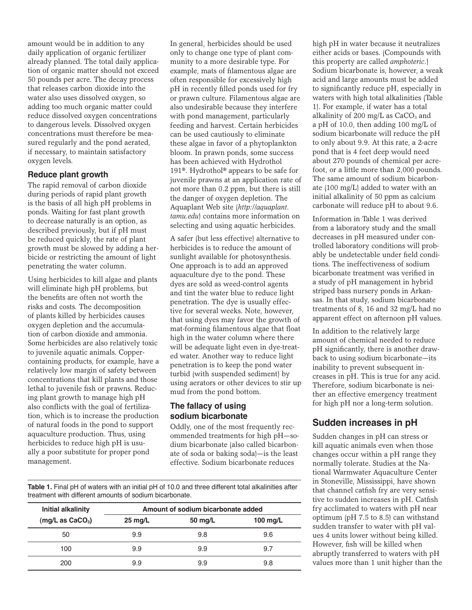amount would be in addition to any daily application of organic fertilizer already planned. The total daily application of organic matter should not exceed 50 pounds per acre. The decay process that releases carbon dioxide into the water also uses dissolved oxygen, so adding too much organic matter could reduce dissolved oxygen concentrations to dangerous levels. Dissolved oxygen concentrations must therefore be measured regularly and the pond aerated, if necessary, to maintain satisfactory oxygen levels.

#### **Reduce plant growth**

The rapid removal of carbon dioxide during periods of rapid plant growth is the basis of all high pH problems in ponds. Waiting for fast plant growth to decrease naturally is an option, as described previously, but if pH must be reduced quickly, the rate of plant growth must be slowed by adding a herbicide or restricting the amount of light penetrating the water column.

Using herbicides to kill algae and plants will eliminate high pH problems, but the benefits are often not worth the risks and costs. The decomposition of plants killed by herbicides causes oxygen depletion and the accumulation of carbon dioxide and ammonia. Some herbicides are also relatively toxic to juvenile aquatic animals. Coppercontaining products, for example, have a relatively low margin of safety between concentrations that kill plants and those lethal to juvenile fish or prawns. Reducing plant growth to manage high pH also conflicts with the goal of fertilization, which is to increase the production of natural foods in the pond to support aquaculture production. Thus, using herbicides to reduce high pH is usually a poor substitute for proper pond management.

In general, herbicides should be used only to change one type of plant community to a more desirable type. For example, mats of filamentous algae are often responsible for excessively high pH in recently filled ponds used for fry or prawn culture. Filamentous algae are also undesirable because they interfere with pond management, particularly feeding and harvest. Certain herbicides can be used cautiously to eliminate these algae in favor of a phytoplankton bloom. In prawn ponds, some success has been achieved with Hydrothol 191®. Hydrothol® appears to be safe for juvenile prawns at an application rate of not more than 0.2 ppm, but there is still the danger of oxygen depletion. The Aquaplant Web site (*http://aquaplant. tamu.edu*) contains more information on selecting and using aquatic herbicides.

A safer (but less effective) alternative to herbicides is to reduce the amount of sunlight available for photosynthesis. One approach is to add an approved aquaculture dye to the pond. These dyes are sold as weed-control agents and tint the water blue to reduce light penetration. The dye is usually effective for several weeks. Note, however, that using dyes may favor the growth of mat-forming filamentous algae that float high in the water column where there will be adequate light even in dye-treated water. Another way to reduce light penetration is to keep the pond water turbid (with suspended sediment) by using aerators or other devices to stir up mud from the pond bottom.

#### **The fallacy of using sodium bicarbonate**

Oddly, one of the most frequently recommended treatments for high pH—sodium bicarbonate (also called bicarbonate of soda or baking soda)—is the least effective. Sodium bicarbonate reduces

**Table 1.** Final pH of waters with an initial pH of 10.0 and three different total alkalinities after treatment with different amounts of sodium bicarbonate.

| <b>Initial alkalinity</b><br>$(mg/L$ as $CaCO3$ ) | Amount of sodium bicarbonate added |         |          |
|---------------------------------------------------|------------------------------------|---------|----------|
|                                                   | $25 \text{ mg/L}$                  | 50 mg/L | 100 mg/L |
| 50                                                | 9.9                                | 9.8     | 9.6      |
| 100                                               | 9.9                                | 9.9     | 9.7      |
| 200                                               | 9.9                                | 9.9     | 9.8      |

high pH in water because it neutralizes either acids or bases. (Compounds with this property are called *amphoteric*.) Sodium bicarbonate is, however, a weak acid and large amounts must be added to significantly reduce pH, especially in waters with high total alkalinities (Table 1). For example, if water has a total alkalinity of 200 mg/L as  $CaCO<sub>3</sub>$  and a pH of 10.0, then adding 100 mg/L of sodium bicarbonate will reduce the pH to only about 9.9. At this rate, a 2-acre pond that is 4 feet deep would need about 270 pounds of chemical per acrefoot, or a little more than 2,000 pounds. The same amount of sodium bicarbonate (100 mg/L) added to water with an initial alkalinity of 50 ppm as calcium carbonate will reduce pH to about 9.6.

Information in Table 1 was derived from a laboratory study and the small decreases in pH measured under controlled laboratory conditions will probably be undetectable under field conditions. The ineffectiveness of sodium bicarbonate treatment was verified in a study of pH management in hybrid striped bass nursery ponds in Arkansas. In that study, sodium bicarbonate treatments of 8, 16 and 32 mg/L had no apparent effect on afternoon pH values.

In addition to the relatively large amount of chemical needed to reduce pH significantly, there is another drawback to using sodium bicarbonate—its inability to prevent subsequent increases in pH. This is true for any acid. Therefore, sodium bicarbonate is neither an effective emergency treatment for high pH nor a long-term solution.

# **Sudden increases in pH**

Sudden changes in pH can stress or kill aquatic animals even when those changes occur within a pH range they normally tolerate. Studies at the National Warmwater Aquaculture Center in Stoneville, Mississippi, have shown that channel catfish fry are very sensitive to sudden increases in pH. Catfish fry acclimated to waters with pH near optimum (pH 7.5 to 8.5) can withstand sudden transfer to water with pH values 4 units lower without being killed. However, fish will be killed when abruptly transferred to waters with pH values more than 1 unit higher than the